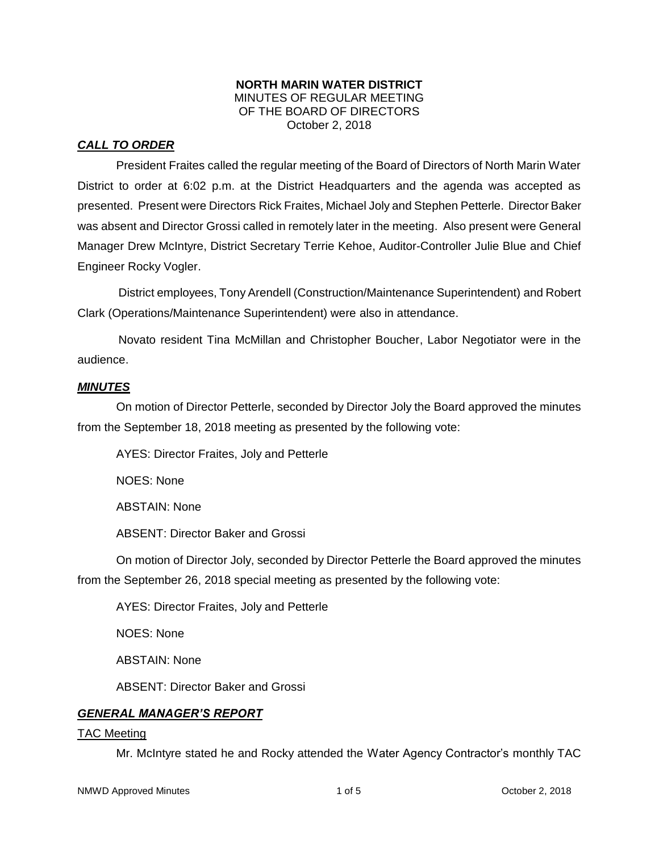### **NORTH MARIN WATER DISTRICT** MINUTES OF REGULAR MEETING OF THE BOARD OF DIRECTORS October 2, 2018

## *CALL TO ORDER*

President Fraites called the regular meeting of the Board of Directors of North Marin Water District to order at 6:02 p.m. at the District Headquarters and the agenda was accepted as presented. Present were Directors Rick Fraites, Michael Joly and Stephen Petterle. Director Baker was absent and Director Grossi called in remotely later in the meeting. Also present were General Manager Drew McIntyre, District Secretary Terrie Kehoe, Auditor-Controller Julie Blue and Chief Engineer Rocky Vogler.

District employees, Tony Arendell (Construction/Maintenance Superintendent) and Robert Clark (Operations/Maintenance Superintendent) were also in attendance.

Novato resident Tina McMillan and Christopher Boucher, Labor Negotiator were in the audience.

### *MINUTES*

On motion of Director Petterle, seconded by Director Joly the Board approved the minutes from the September 18, 2018 meeting as presented by the following vote:

AYES: Director Fraites, Joly and Petterle

NOES: None

ABSTAIN: None

ABSENT: Director Baker and Grossi

On motion of Director Joly, seconded by Director Petterle the Board approved the minutes from the September 26, 2018 special meeting as presented by the following vote:

AYES: Director Fraites, Joly and Petterle

NOES: None

ABSTAIN: None

ABSENT: Director Baker and Grossi

### *GENERAL MANAGER'S REPORT*

#### TAC Meeting

Mr. McIntyre stated he and Rocky attended the Water Agency Contractor's monthly TAC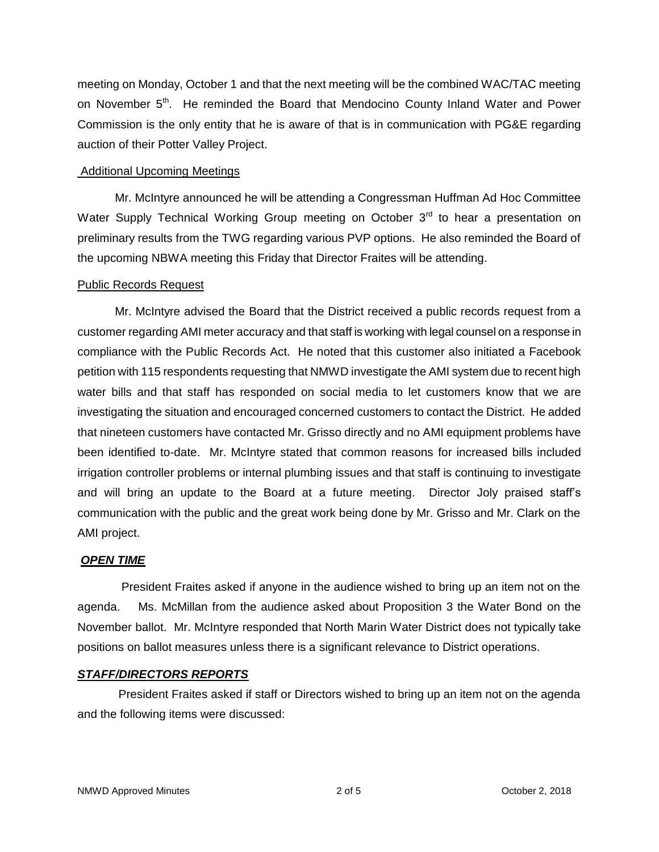meeting on Monday, October 1 and that the next meeting will be the combined WAC/TAC meeting on November  $5<sup>th</sup>$ . He reminded the Board that Mendocino County Inland Water and Power Commission is the only entity that he is aware of that is in communication with PG&E regarding auction of their Potter Valley Project.

### Additional Upcoming Meetings

Mr. McIntyre announced he will be attending a Congressman Huffman Ad Hoc Committee Water Supply Technical Working Group meeting on October  $3<sup>rd</sup>$  to hear a presentation on preliminary results from the TWG regarding various PVP options. He also reminded the Board of the upcoming NBWA meeting this Friday that Director Fraites will be attending.

### Public Records Request

Mr. McIntyre advised the Board that the District received a public records request from a customer regarding AMI meter accuracy and that staff is working with legal counsel on a response in compliance with the Public Records Act. He noted that this customer also initiated a Facebook petition with 115 respondents requesting that NMWD investigate the AMI system due to recent high water bills and that staff has responded on social media to let customers know that we are investigating the situation and encouraged concerned customers to contact the District. He added that nineteen customers have contacted Mr. Grisso directly and no AMI equipment problems have been identified to-date. Mr. McIntyre stated that common reasons for increased bills included irrigation controller problems or internal plumbing issues and that staff is continuing to investigate and will bring an update to the Board at a future meeting. Director Joly praised staff's communication with the public and the great work being done by Mr. Grisso and Mr. Clark on the AMI project.

# *OPEN TIME*

President Fraites asked if anyone in the audience wished to bring up an item not on the agenda. Ms. McMillan from the audience asked about Proposition 3 the Water Bond on the November ballot. Mr. McIntyre responded that North Marin Water District does not typically take positions on ballot measures unless there is a significant relevance to District operations.

### *STAFF/DIRECTORS REPORTS*

President Fraites asked if staff or Directors wished to bring up an item not on the agenda and the following items were discussed: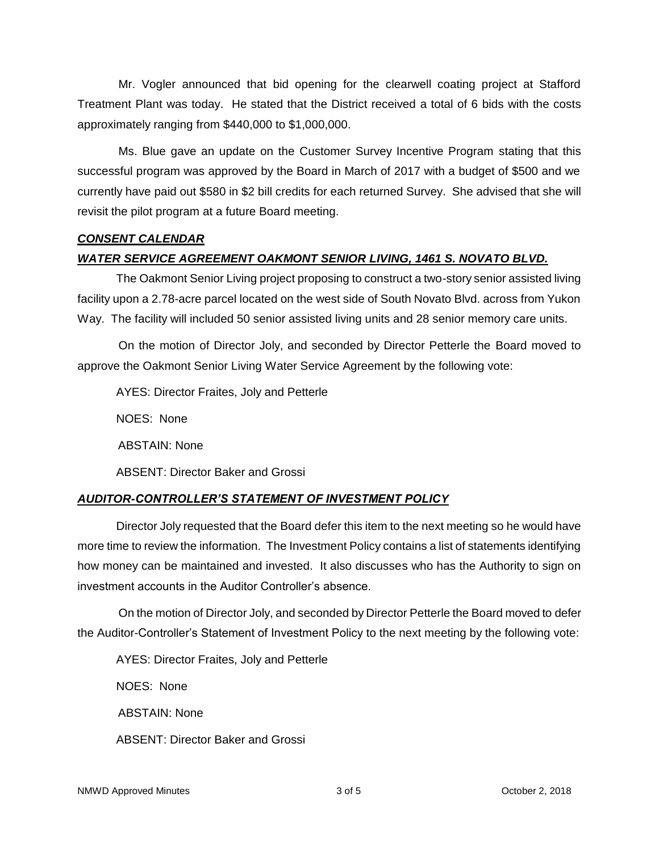Mr. Vogler announced that bid opening for the clearwell coating project at Stafford Treatment Plant was today. He stated that the District received a total of 6 bids with the costs approximately ranging from \$440,000 to \$1,000,000.

Ms. Blue gave an update on the Customer Survey Incentive Program stating that this successful program was approved by the Board in March of 2017 with a budget of \$500 and we currently have paid out \$580 in \$2 bill credits for each returned Survey. She advised that she will revisit the pilot program at a future Board meeting.

# *CONSENT CALENDAR*

# *WATER SERVICE AGREEMENT OAKMONT SENIOR LIVING, 1461 S. NOVATO BLVD.*

The Oakmont Senior Living project proposing to construct a two-story senior assisted living facility upon a 2.78-acre parcel located on the west side of South Novato Blvd. across from Yukon Way. The facility will included 50 senior assisted living units and 28 senior memory care units.

On the motion of Director Joly, and seconded by Director Petterle the Board moved to approve the Oakmont Senior Living Water Service Agreement by the following vote:

AYES: Director Fraites, Joly and Petterle

NOES: None

ABSTAIN: None

ABSENT: Director Baker and Grossi

# *AUDITOR-CONTROLLER'S STATEMENT OF INVESTMENT POLICY*

Director Joly requested that the Board defer this item to the next meeting so he would have more time to review the information. The Investment Policy contains a list of statements identifying how money can be maintained and invested. It also discusses who has the Authority to sign on investment accounts in the Auditor Controller's absence.

On the motion of Director Joly, and seconded by Director Petterle the Board moved to defer the Auditor-Controller's Statement of Investment Policy to the next meeting by the following vote:

AYES: Director Fraites, Joly and Petterle NOES: None ABSTAIN: None ABSENT: Director Baker and Grossi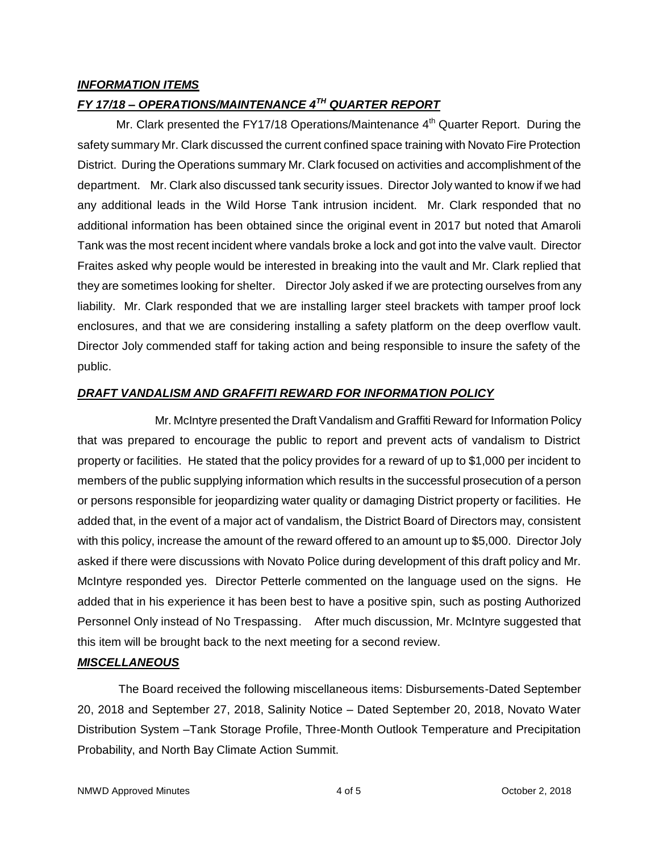## *INFORMATION ITEMS*

# *FY 17/18 – OPERATIONS/MAINTENANCE 4TH QUARTER REPORT*

Mr. Clark presented the FY17/18 Operations/Maintenance  $4<sup>th</sup>$  Quarter Report. During the safety summary Mr. Clark discussed the current confined space training with Novato Fire Protection District. During the Operations summary Mr. Clark focused on activities and accomplishment of the department. Mr. Clark also discussed tank security issues. Director Joly wanted to know if we had any additional leads in the Wild Horse Tank intrusion incident. Mr. Clark responded that no additional information has been obtained since the original event in 2017 but noted that Amaroli Tank was the most recent incident where vandals broke a lock and got into the valve vault. Director Fraites asked why people would be interested in breaking into the vault and Mr. Clark replied that they are sometimes looking for shelter. Director Joly asked if we are protecting ourselves from any liability. Mr. Clark responded that we are installing larger steel brackets with tamper proof lock enclosures, and that we are considering installing a safety platform on the deep overflow vault. Director Joly commended staff for taking action and being responsible to insure the safety of the public.

### *DRAFT VANDALISM AND GRAFFITI REWARD FOR INFORMATION POLICY*

Mr. McIntyre presented the Draft Vandalism and Graffiti Reward for Information Policy that was prepared to encourage the public to report and prevent acts of vandalism to District property or facilities. He stated that the policy provides for a reward of up to \$1,000 per incident to members of the public supplying information which results in the successful prosecution of a person or persons responsible for jeopardizing water quality or damaging District property or facilities. He added that, in the event of a major act of vandalism, the District Board of Directors may, consistent with this policy, increase the amount of the reward offered to an amount up to \$5,000. Director Joly asked if there were discussions with Novato Police during development of this draft policy and Mr. McIntyre responded yes. Director Petterle commented on the language used on the signs. He added that in his experience it has been best to have a positive spin, such as posting Authorized Personnel Only instead of No Trespassing. After much discussion, Mr. McIntyre suggested that this item will be brought back to the next meeting for a second review.

### *MISCELLANEOUS*

The Board received the following miscellaneous items: Disbursements-Dated September 20, 2018 and September 27, 2018, Salinity Notice – Dated September 20, 2018, Novato Water Distribution System –Tank Storage Profile, Three-Month Outlook Temperature and Precipitation Probability, and North Bay Climate Action Summit.